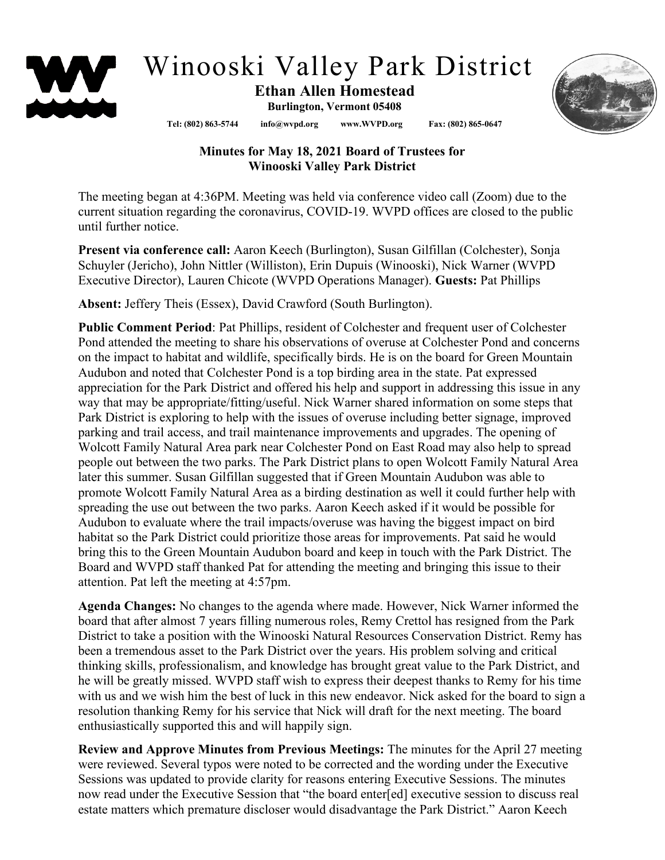

## Winooski Valley Park District

## **Ethan Allen Homestead Burlington, Vermont 05408**

**Tel: (802) 863-5744 info@wvpd.org [www.WVPD.org](http://www.wvpd.org/) Fax: (802) 865-0647** 



## **Minutes for May 18, 2021 Board of Trustees for Winooski Valley Park District**

The meeting began at 4:36PM. Meeting was held via conference video call (Zoom) due to the current situation regarding the coronavirus, COVID-19. WVPD offices are closed to the public until further notice.

**Present via conference call:** Aaron Keech (Burlington), Susan Gilfillan (Colchester), Sonja Schuyler (Jericho), John Nittler (Williston), Erin Dupuis (Winooski), Nick Warner (WVPD Executive Director), Lauren Chicote (WVPD Operations Manager). **Guests:** Pat Phillips

**Absent:** Jeffery Theis (Essex), David Crawford (South Burlington).

**Public Comment Period**: Pat Phillips, resident of Colchester and frequent user of Colchester Pond attended the meeting to share his observations of overuse at Colchester Pond and concerns on the impact to habitat and wildlife, specifically birds. He is on the board for Green Mountain Audubon and noted that Colchester Pond is a top birding area in the state. Pat expressed appreciation for the Park District and offered his help and support in addressing this issue in any way that may be appropriate/fitting/useful. Nick Warner shared information on some steps that Park District is exploring to help with the issues of overuse including better signage, improved parking and trail access, and trail maintenance improvements and upgrades. The opening of Wolcott Family Natural Area park near Colchester Pond on East Road may also help to spread people out between the two parks. The Park District plans to open Wolcott Family Natural Area later this summer. Susan Gilfillan suggested that if Green Mountain Audubon was able to promote Wolcott Family Natural Area as a birding destination as well it could further help with spreading the use out between the two parks. Aaron Keech asked if it would be possible for Audubon to evaluate where the trail impacts/overuse was having the biggest impact on bird habitat so the Park District could prioritize those areas for improvements. Pat said he would bring this to the Green Mountain Audubon board and keep in touch with the Park District. The Board and WVPD staff thanked Pat for attending the meeting and bringing this issue to their attention. Pat left the meeting at 4:57pm.

**Agenda Changes:** No changes to the agenda where made. However, Nick Warner informed the board that after almost 7 years filling numerous roles, Remy Crettol has resigned from the Park District to take a position with the Winooski Natural Resources Conservation District. Remy has been a tremendous asset to the Park District over the years. His problem solving and critical thinking skills, professionalism, and knowledge has brought great value to the Park District, and he will be greatly missed. WVPD staff wish to express their deepest thanks to Remy for his time with us and we wish him the best of luck in this new endeavor. Nick asked for the board to sign a resolution thanking Remy for his service that Nick will draft for the next meeting. The board enthusiastically supported this and will happily sign.

**Review and Approve Minutes from Previous Meetings:** The minutes for the April 27 meeting were reviewed. Several typos were noted to be corrected and the wording under the Executive Sessions was updated to provide clarity for reasons entering Executive Sessions. The minutes now read under the Executive Session that "the board enter[ed] executive session to discuss real estate matters which premature discloser would disadvantage the Park District." Aaron Keech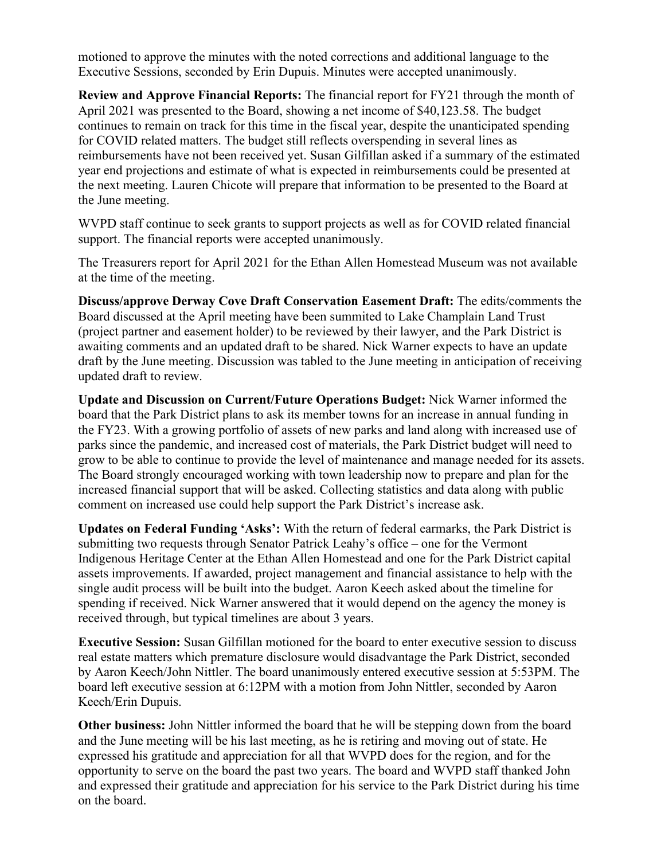motioned to approve the minutes with the noted corrections and additional language to the Executive Sessions, seconded by Erin Dupuis. Minutes were accepted unanimously.

**Review and Approve Financial Reports:** The financial report for FY21 through the month of April 2021 was presented to the Board, showing a net income of \$40,123.58. The budget continues to remain on track for this time in the fiscal year, despite the unanticipated spending for COVID related matters. The budget still reflects overspending in several lines as reimbursements have not been received yet. Susan Gilfillan asked if a summary of the estimated year end projections and estimate of what is expected in reimbursements could be presented at the next meeting. Lauren Chicote will prepare that information to be presented to the Board at the June meeting.

WVPD staff continue to seek grants to support projects as well as for COVID related financial support. The financial reports were accepted unanimously.

The Treasurers report for April 2021 for the Ethan Allen Homestead Museum was not available at the time of the meeting.

**Discuss/approve Derway Cove Draft Conservation Easement Draft:** The edits/comments the Board discussed at the April meeting have been summited to Lake Champlain Land Trust (project partner and easement holder) to be reviewed by their lawyer, and the Park District is awaiting comments and an updated draft to be shared. Nick Warner expects to have an update draft by the June meeting. Discussion was tabled to the June meeting in anticipation of receiving updated draft to review.

**Update and Discussion on Current/Future Operations Budget:** Nick Warner informed the board that the Park District plans to ask its member towns for an increase in annual funding in the FY23. With a growing portfolio of assets of new parks and land along with increased use of parks since the pandemic, and increased cost of materials, the Park District budget will need to grow to be able to continue to provide the level of maintenance and manage needed for its assets. The Board strongly encouraged working with town leadership now to prepare and plan for the increased financial support that will be asked. Collecting statistics and data along with public comment on increased use could help support the Park District's increase ask.

**Updates on Federal Funding 'Asks':** With the return of federal earmarks, the Park District is submitting two requests through Senator Patrick Leahy's office – one for the Vermont Indigenous Heritage Center at the Ethan Allen Homestead and one for the Park District capital assets improvements. If awarded, project management and financial assistance to help with the single audit process will be built into the budget. Aaron Keech asked about the timeline for spending if received. Nick Warner answered that it would depend on the agency the money is received through, but typical timelines are about 3 years.

**Executive Session:** Susan Gilfillan motioned for the board to enter executive session to discuss real estate matters which premature disclosure would disadvantage the Park District, seconded by Aaron Keech/John Nittler. The board unanimously entered executive session at 5:53PM. The board left executive session at 6:12PM with a motion from John Nittler, seconded by Aaron Keech/Erin Dupuis.

**Other business:** John Nittler informed the board that he will be stepping down from the board and the June meeting will be his last meeting, as he is retiring and moving out of state. He expressed his gratitude and appreciation for all that WVPD does for the region, and for the opportunity to serve on the board the past two years. The board and WVPD staff thanked John and expressed their gratitude and appreciation for his service to the Park District during his time on the board.